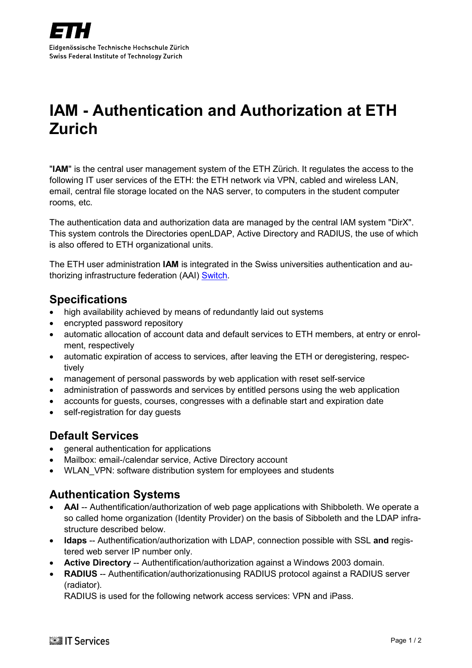# <span id="page-0-0"></span>**IAM - Authentication and Authorization at ETH Zurich**

"**IAM**" is the central user management system of the ETH Zürich. It regulates the access to the following IT user services of the ETH: the ETH network via VPN, cabled and wireless LAN, email, central file storage located on the NAS server, to computers in the student computer rooms, etc.

The authentication data and authorization data are managed by the central IAM system "DirX". This system controls the Directories openLDAP, Active Directory and RADIUS, the use of which is also offered to ETH organizational units.

The ETH user administration **IAM** is integrated in the Swiss universities authentication and authorizing infrastructure federation (AAI) [Switch.](http://www.switch.ch/aai)

### **Specifications**

- high availability achieved by means of redundantly laid out systems
- encrypted password repository
- automatic allocation of account data and default services to ETH members, at entry or enrolment, respectively
- automatic expiration of access to services, after [leaving the ETH](https://www1.ethz.ch/id/services/exit/index_EN) or deregistering, respectively
- management of personal passwords by [web application](http://passwort.ethz.ch/) with reset self-service
- administration of passwords and services by entitled persons using the [web application](http://passwort.ethz.ch/)
- accounts for guests, courses, congresses with a definable start and expiration date
- self-registration for day quests

### **Default Services**

- general authentication for applications
- Mailbox: email-/calendar service, Active Directory account
- WLAN\_VPN: software distribution system for employees and students

## **Authentication Systems**

- **AAI** -- Authentification/authorization of web page applications with Shibboleth. We operate a so called home organization (Identity Provider) on the basis of Sibboleth and the LDAP infrastructure described below.
- **ldaps** -- Authentification/authorization with LDAP, connection possible with SSL **and** registered web server IP number only.
- **Active Directory** -- Authentification/authorization against a Windows 2003 domain.
- **RADIUS** -- Authentification/authorizationusing RADIUS protocol against a RADIUS server (radiator).

RADIUS is used for the following network access services: VPN and iPass.